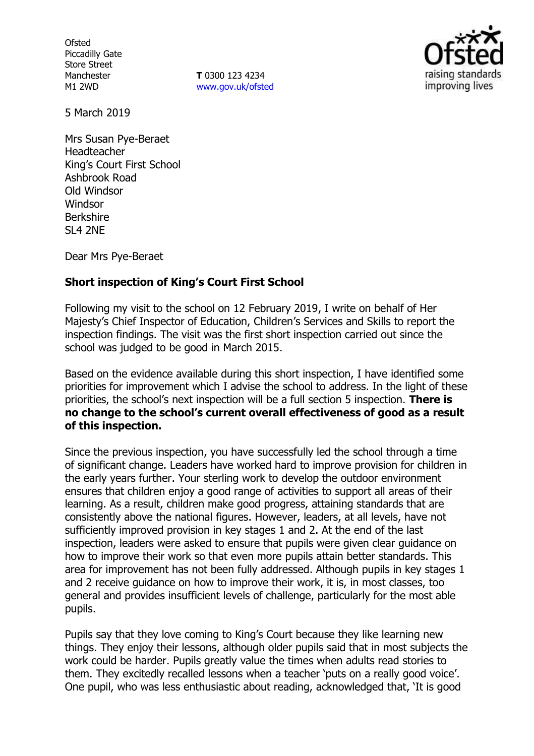**Ofsted** Piccadilly Gate Store Street Manchester M1 2WD

**T** 0300 123 4234 www.gov.uk/ofsted



5 March 2019

Mrs Susan Pye-Beraet Headteacher King's Court First School Ashbrook Road Old Windsor Windsor Berkshire SL4 2NE

Dear Mrs Pye-Beraet

## **Short inspection of King's Court First School**

Following my visit to the school on 12 February 2019, I write on behalf of Her Majesty's Chief Inspector of Education, Children's Services and Skills to report the inspection findings. The visit was the first short inspection carried out since the school was judged to be good in March 2015.

Based on the evidence available during this short inspection, I have identified some priorities for improvement which I advise the school to address. In the light of these priorities, the school's next inspection will be a full section 5 inspection. **There is no change to the school's current overall effectiveness of good as a result of this inspection.**

Since the previous inspection, you have successfully led the school through a time of significant change. Leaders have worked hard to improve provision for children in the early years further. Your sterling work to develop the outdoor environment ensures that children enjoy a good range of activities to support all areas of their learning. As a result, children make good progress, attaining standards that are consistently above the national figures. However, leaders, at all levels, have not sufficiently improved provision in key stages 1 and 2. At the end of the last inspection, leaders were asked to ensure that pupils were given clear guidance on how to improve their work so that even more pupils attain better standards. This area for improvement has not been fully addressed. Although pupils in key stages 1 and 2 receive guidance on how to improve their work, it is, in most classes, too general and provides insufficient levels of challenge, particularly for the most able pupils.

Pupils say that they love coming to King's Court because they like learning new things. They enjoy their lessons, although older pupils said that in most subjects the work could be harder. Pupils greatly value the times when adults read stories to them. They excitedly recalled lessons when a teacher 'puts on a really good voice'. One pupil, who was less enthusiastic about reading, acknowledged that, 'It is good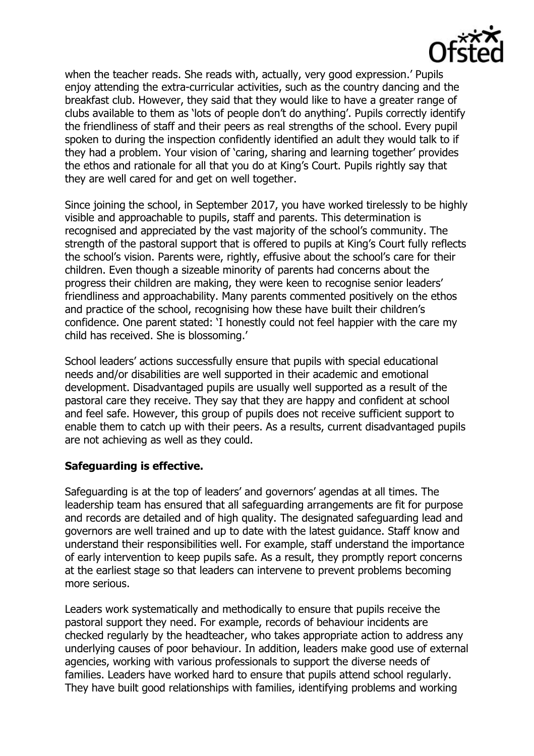

when the teacher reads. She reads with, actually, very good expression.' Pupils enjoy attending the extra-curricular activities, such as the country dancing and the breakfast club. However, they said that they would like to have a greater range of clubs available to them as 'lots of people don't do anything'. Pupils correctly identify the friendliness of staff and their peers as real strengths of the school. Every pupil spoken to during the inspection confidently identified an adult they would talk to if they had a problem. Your vision of 'caring, sharing and learning together' provides the ethos and rationale for all that you do at King's Court. Pupils rightly say that they are well cared for and get on well together.

Since joining the school, in September 2017, you have worked tirelessly to be highly visible and approachable to pupils, staff and parents. This determination is recognised and appreciated by the vast majority of the school's community. The strength of the pastoral support that is offered to pupils at King's Court fully reflects the school's vision. Parents were, rightly, effusive about the school's care for their children. Even though a sizeable minority of parents had concerns about the progress their children are making, they were keen to recognise senior leaders' friendliness and approachability. Many parents commented positively on the ethos and practice of the school, recognising how these have built their children's confidence. One parent stated: 'I honestly could not feel happier with the care my child has received. She is blossoming.'

School leaders' actions successfully ensure that pupils with special educational needs and/or disabilities are well supported in their academic and emotional development. Disadvantaged pupils are usually well supported as a result of the pastoral care they receive. They say that they are happy and confident at school and feel safe. However, this group of pupils does not receive sufficient support to enable them to catch up with their peers. As a results, current disadvantaged pupils are not achieving as well as they could.

#### **Safeguarding is effective.**

Safeguarding is at the top of leaders' and governors' agendas at all times. The leadership team has ensured that all safeguarding arrangements are fit for purpose and records are detailed and of high quality. The designated safeguarding lead and governors are well trained and up to date with the latest guidance. Staff know and understand their responsibilities well. For example, staff understand the importance of early intervention to keep pupils safe. As a result, they promptly report concerns at the earliest stage so that leaders can intervene to prevent problems becoming more serious.

Leaders work systematically and methodically to ensure that pupils receive the pastoral support they need. For example, records of behaviour incidents are checked regularly by the headteacher, who takes appropriate action to address any underlying causes of poor behaviour. In addition, leaders make good use of external agencies, working with various professionals to support the diverse needs of families. Leaders have worked hard to ensure that pupils attend school regularly. They have built good relationships with families, identifying problems and working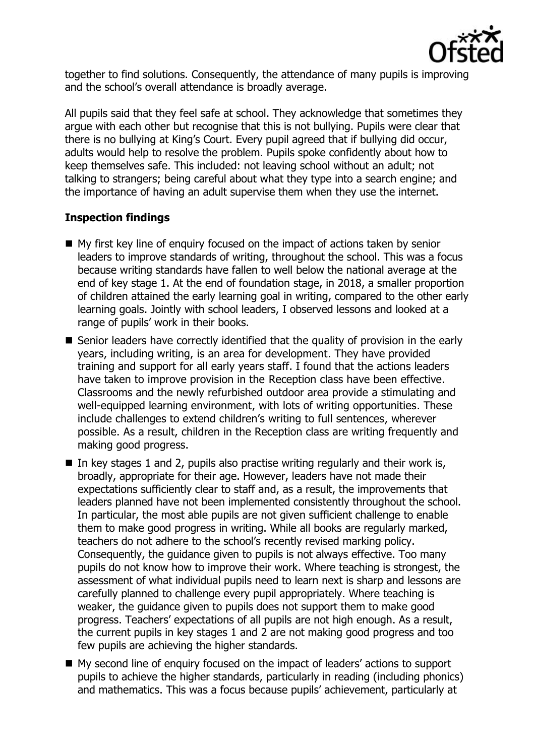

together to find solutions. Consequently, the attendance of many pupils is improving and the school's overall attendance is broadly average.

All pupils said that they feel safe at school. They acknowledge that sometimes they argue with each other but recognise that this is not bullying. Pupils were clear that there is no bullying at King's Court. Every pupil agreed that if bullying did occur, adults would help to resolve the problem. Pupils spoke confidently about how to keep themselves safe. This included: not leaving school without an adult; not talking to strangers; being careful about what they type into a search engine; and the importance of having an adult supervise them when they use the internet.

## **Inspection findings**

- My first key line of enquiry focused on the impact of actions taken by senior leaders to improve standards of writing, throughout the school. This was a focus because writing standards have fallen to well below the national average at the end of key stage 1. At the end of foundation stage, in 2018, a smaller proportion of children attained the early learning goal in writing, compared to the other early learning goals. Jointly with school leaders, I observed lessons and looked at a range of pupils' work in their books.
- Senior leaders have correctly identified that the quality of provision in the early years, including writing, is an area for development. They have provided training and support for all early years staff. I found that the actions leaders have taken to improve provision in the Reception class have been effective. Classrooms and the newly refurbished outdoor area provide a stimulating and well-equipped learning environment, with lots of writing opportunities. These include challenges to extend children's writing to full sentences, wherever possible. As a result, children in the Reception class are writing frequently and making good progress.
- In key stages 1 and 2, pupils also practise writing regularly and their work is, broadly, appropriate for their age. However, leaders have not made their expectations sufficiently clear to staff and, as a result, the improvements that leaders planned have not been implemented consistently throughout the school. In particular, the most able pupils are not given sufficient challenge to enable them to make good progress in writing. While all books are regularly marked, teachers do not adhere to the school's recently revised marking policy. Consequently, the guidance given to pupils is not always effective. Too many pupils do not know how to improve their work. Where teaching is strongest, the assessment of what individual pupils need to learn next is sharp and lessons are carefully planned to challenge every pupil appropriately. Where teaching is weaker, the guidance given to pupils does not support them to make good progress. Teachers' expectations of all pupils are not high enough. As a result, the current pupils in key stages 1 and 2 are not making good progress and too few pupils are achieving the higher standards.
- My second line of enquiry focused on the impact of leaders' actions to support pupils to achieve the higher standards, particularly in reading (including phonics) and mathematics. This was a focus because pupils' achievement, particularly at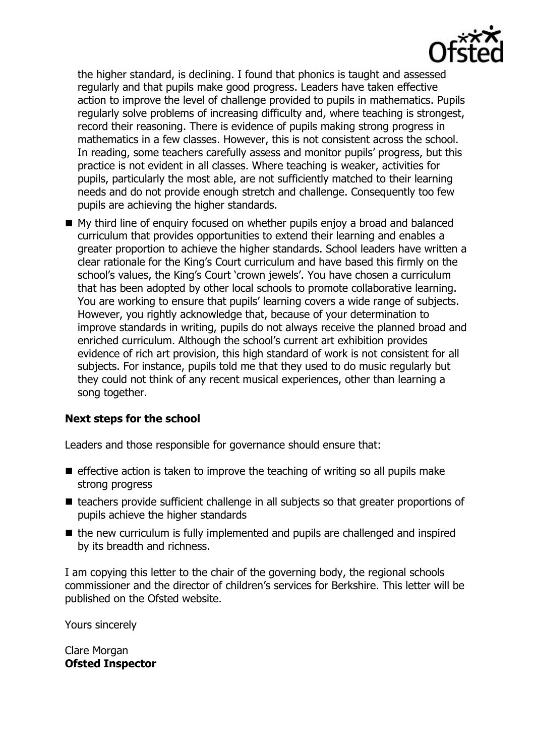

the higher standard, is declining. I found that phonics is taught and assessed regularly and that pupils make good progress. Leaders have taken effective action to improve the level of challenge provided to pupils in mathematics. Pupils regularly solve problems of increasing difficulty and, where teaching is strongest, record their reasoning. There is evidence of pupils making strong progress in mathematics in a few classes. However, this is not consistent across the school. In reading, some teachers carefully assess and monitor pupils' progress, but this practice is not evident in all classes. Where teaching is weaker, activities for pupils, particularly the most able, are not sufficiently matched to their learning needs and do not provide enough stretch and challenge. Consequently too few pupils are achieving the higher standards.

■ My third line of enquiry focused on whether pupils enjoy a broad and balanced curriculum that provides opportunities to extend their learning and enables a greater proportion to achieve the higher standards. School leaders have written a clear rationale for the King's Court curriculum and have based this firmly on the school's values, the King's Court 'crown jewels'. You have chosen a curriculum that has been adopted by other local schools to promote collaborative learning. You are working to ensure that pupils' learning covers a wide range of subjects. However, you rightly acknowledge that, because of your determination to improve standards in writing, pupils do not always receive the planned broad and enriched curriculum. Although the school's current art exhibition provides evidence of rich art provision, this high standard of work is not consistent for all subjects. For instance, pupils told me that they used to do music regularly but they could not think of any recent musical experiences, other than learning a song together.

# **Next steps for the school**

Leaders and those responsible for governance should ensure that:

- $\blacksquare$  effective action is taken to improve the teaching of writing so all pupils make strong progress
- teachers provide sufficient challenge in all subjects so that greater proportions of pupils achieve the higher standards
- $\blacksquare$  the new curriculum is fully implemented and pupils are challenged and inspired by its breadth and richness.

I am copying this letter to the chair of the governing body, the regional schools commissioner and the director of children's services for Berkshire. This letter will be published on the Ofsted website.

Yours sincerely

Clare Morgan **Ofsted Inspector**